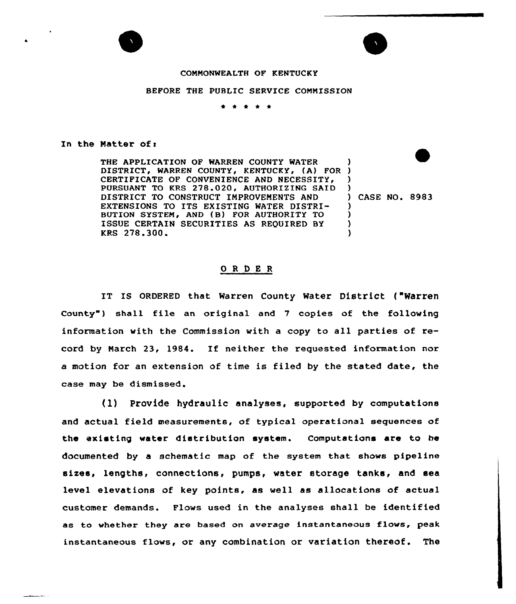

## COMMONWEALTH OF KENTUCKY

## BEFORE THE PUBLIC SERVICE COMMISSION

\* 0 \* <sup>4</sup> \*

## In the Matter of  $r$

THE APPLICATION OF WARREN COUNTY WATER DISTRICT, WARREN COUNTY, KENTUCKY, (A) FOR ) CERTIFICATE OF CONVENIENCE AND NECESSITY, PURSUANT TO KRS 278.020, AUTHORIZING SAID DISTRICT TO CONSTRUCT IMPROVEMENTS AND EXTENSIONS TO ITS EXISTING WATER DISTRI-BUTION SYSTEM, AND (B) FOR AUTHORITY TO ISSUE CERTAIN SECURITIES AS REQUIRED BY KRS 278.300. ) ) ) ) CASE NO. 8983 ) ) ) )

## ORDER

IT IS ORDERED that Warren County Water District ("Warren County") shall file an original and 7 copies of the following information with the Commission with a copy to all parties of record by March 23, 1984. If neither the requested information nor a motion for an extension of time is filed by the stated date, the case may be dismissed.

(1) Provide hydraulic analyses, supported by computations and actual field measurements, of typical operational sequences of the existing water distribution system. Computations are to be documented by a schematic map of the system that shows pipeline sizes, lengths, connections, pumps, water storage tanks, and sea level elevations of key points, as well as allocations of actual customer demands. Flows used in the analyses shall be identified as to whether they are based on average instantaneous flows, peak instantaneous flows, or any combination or variation thereof. The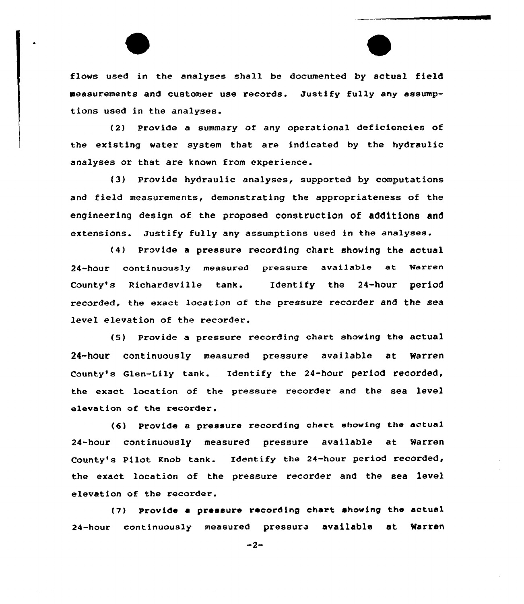flows used in the analyses shall be documented by actual field measurements and customer use records. Justify fully any assumptions used in the analyses.

(2) Provide a summary of any operational deficiencies of the existing water system that are indicated by the hydraulic analyses or that are known from experience.

(3) Provide hydraulic analyses, supported by computations and field measurements, demonstrating the appropriateness of the engineering design of the proposed construction of additions and extensions. Justify fully any assumptions used in the analyses.

(4) Provide a pressure recording chart showing the actual 24-hour continuously measured pressure available at Warren County's Richardsville tank. Identify the 24-hour period recorded, the exact location of the pressure recorder and the sea level elevation of the recorder.

(5) Provide a pressure recording chart showing the actual 24-hour continuously measured pressure available at Narren county's Glen-Lily tank. Identify the 24-hour period recorded, the exact location of the pressure recorder and the sea level elevation of the recorder.

(6) Provide a pressure recording chart showing the actual 24-hour continuously measured pressure available at Warren County's Pilot Knob tank. Identify the 24-hour period recorded, the exact location of the pressure recorder and the sea level elevation of the recorder.

(7) Provide <sup>a</sup> pressure recording chart showing the actual 24-hour continuously measured pressure available at Warren

 $-2-$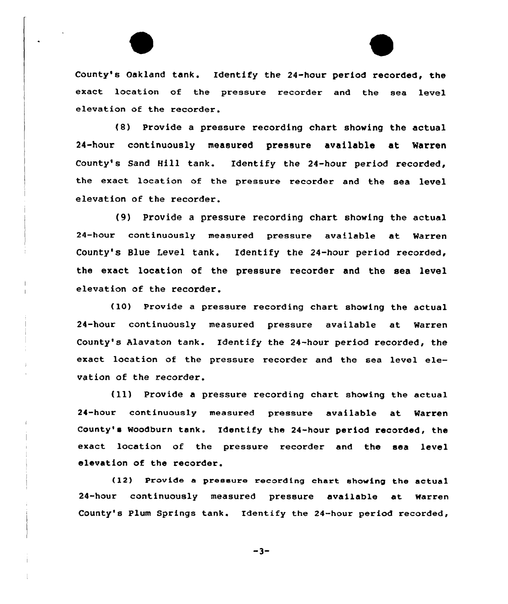

County's Oakland tank. Identify the 24-hour period recorded, the exact location of the pressure recorder and the sea level elevation of the recorder.

(8) Provide a pressure recording chart showing the actual 24-hour continuously measured pressure available at Warren County's Sand Hill tank. Identify the 24-hour period recorded, the exact location of the pressure recorder and the sea level elevation of the recorder.

{9) Provide a pressure recording chart showing the actual 24-hour continuously measured pressure available at Marren County's Blue Level tank. Identify the 24-hour period recorded, the exact location of the pressure recorder and the sea level elevation of the recorder.

(10) Provide a pressure recording chart showing the actual 24-hour continuously measured pressure available at Warren County's Alavaton tank. Identify the 24-hour period recorded, the exact location of the pressure recorder and the sea level elevation of the recorder.

(ll) Provide <sup>a</sup> pressure recording chart showing the actual 24-hour continuous1y measured pressure available at Warren County's Woodburn tank. Identify the 24-hour period recorded, the exact location of the pressure recorder and the sea level elevation of the recorder.

(12) Provide e pressure recording chart showing the actual 24-hour continuously measured pressure available at warren County's Plum Springs tank. Identify the 24-hour period recorded,

 $-3-$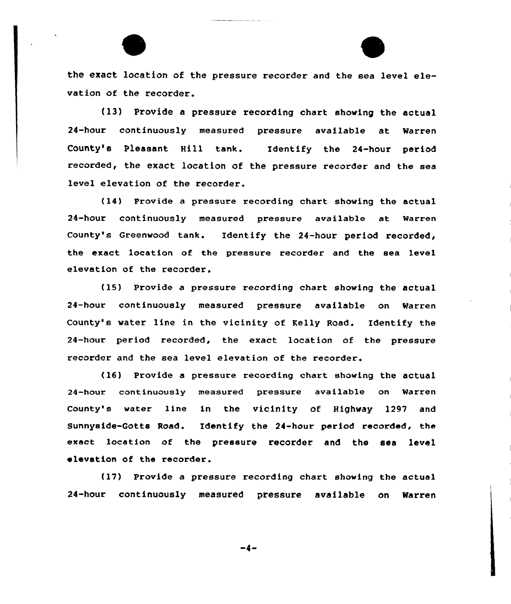the exact location of the pressure recorder and the sea level elevation of the recorder.

(13) Provide a pressure recording chart showing the actual 24-hour continuously measured pressure available at Warren County's Pleasant Hill tank. Identify the 24-hour period recorded, the exact location of the pressure recorder and the sea level elevation of the recorder.

(14) Provide a pressure recording chart showing the actual 24-hour continuously measured pressure available at Warren County's Greenwood tank. Identify the 24-hour period recorded, the exact 1ocation of the pressure recorder and the sea level elevation of the recorder.

(15) Provide a pressure recording chart showing the actual 24-hour continuously measured pressure available on Marren County's water line in the vicinity of Kelly Road. Identify the 24-hour period recorded, the exact location of the pressure recorder and the sea level elevation of the recorder.

 $(16)$  Provide a pressure recording chart showing the actual 24-hour continuously measured pressure available on Warren County's water line in the vicinity of Highway 1297 and Sunnyside-Gotts Road. Identify the 24-hour period recorded, the exact location of the pressure recorder and the sea level elevation of the recorder.

(17) Provide a pressure recording chart showing the actual 24-hour continuously measured pressure available on Narren

-4-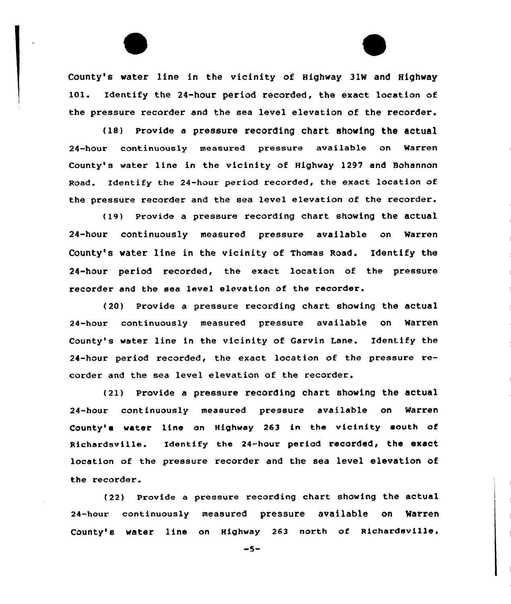County's water line in the vicinity of Highway 31W and Highway 101. Identify the 24-hour period recorded, the exact location of the pressure recorder and the sea level elevation of the recorder.

{18) Provide a pressure recording chart shoving the actual 24-hour continuously measured pressure available on Warren County's water line in the vicinity of Highway 1297 and Bohannon Road. Identify the 24-hour period recorded, the exact location of the pressure recorder and the sea level elevation of the recorder.

(19) Provide a pressure recording chart showing the actual 24-hour continuously measured pressure available on Warren County's water line in the vicinity of Thomas Road. Identify the 24-hour period recorded, the exact location of the pressure recorder and the sea level elevation of the recorder.

{20) Provide a pressuxe recording chart showing the actual 24-hour continuously measured pressure available on Warren County's water line in the vicinity of Garvin Lane. Identify the 24-hour period recorded, the exact location of the pressure recorder and the sea level elevation of the recorder.

{21) Provide a pressure recording chart showing the actual 24-hour continuously measuxed pressure available on Warren County'e water line on Highway 263 in the vicinity south of Richardsville. Identify the 24-hour period reCOrded, the eXaCt location of the pressure recorder and the sea level elevation of the recorder.

(22) Provide a pressure recording chart showing the actual 24-hour continuously measured pressure available on warren County's water line on Highway 263 north of Richardsville.

 $-5-$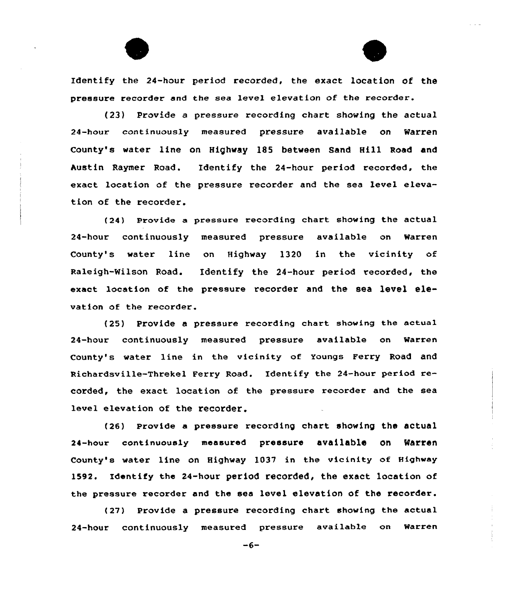Identify the 24-hour period recorded, the exact location of the pressure recordex and the sea level elevation of the recoxder.

(23) Provide a pressure recording chart showing the actual 24-hour COntinuOusly measured pressure available on Warren County's water line on Highway 185 between Sand Hill Road and Austin Raymer Road. Identify the 24-hour period recorded, the exact location of the pressure recorder and the sea level elevation of the recorder.

(24) Provide a pressure recording chart showing the actual 24-hour continuously measured pressure available on Warren County's water line on Highway l320 in the vicinity of Raleigh-Wilson Road. Identify the 24-hour period recorded, the exact location of the pressure recorder and the sea level elevation of the recorder.

(25) Provide a pressure recording chart showing the actual 24-hour continuously measured pressure available on Warren County's water line in the vicinity of Youngs Ferry Road and Richardsville-Threkel Ferry Road. Identify the 24-hour period recorded, the exact location of the pressure recorder and the sea level elevation of the recorder.

(26) Provide a pressure recording chart showing the actual 24-hour continuously measured pressure available On Warren County's water line on Highway 1037 in the vicinity of Highway 1592. Identify the 24-hour period recorded, the exact location of the pressure recoxder and the sea level elevation of the recorder.

 $(27)$  Provide a pressure recording chart showing the actual 24-hour continuously measured pressure available on Warren

 $-6-$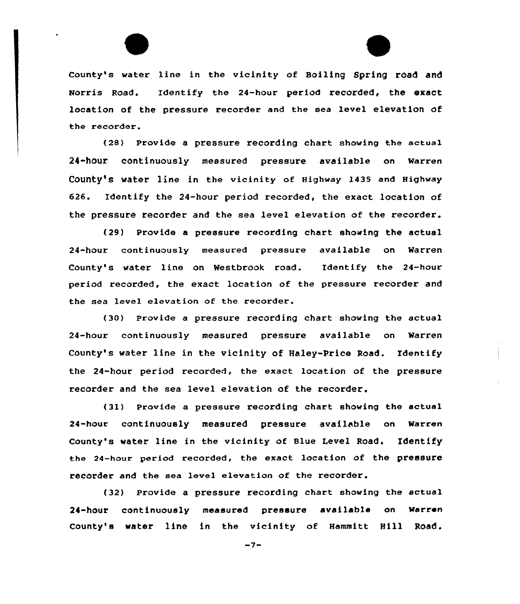

County's water line in the vicinity of Boiling Spring road and Norris Road. Identify the 24-hour period recorded, the exact location of the pressure recorder and the sea level elevation of the recorder.

(28) Provide a pressure recording chart showing the actual 24-hour continuously measured pressure available on Warren County's water line in the vicinity of Highway 1435 and Highway 626. Identify the 24-hour period recorded, the exact location of the pressure recorder and the sea level elevation of the recorder.

(29) Provide a pressure recording chart showing the actual 24-hour continuously measured pressure available on Warren County's water line on Westbrook road. Identify the 24-hour period recorded, the exact location of the pressure recorder and the sea level elevation of the recorder.

(30) Provide a pressure recording chart showing the actual 24-hour continuously measured pressure available on Warren County's water line in the vicinity of Haley-Price Road. Identify the 24-hour period recorded, the exact location of the pressure recorder and the sea level elevation of the recorder.

(31) Provide a pressure recording chart showing the actual 24-hour continuously measured pressure available on warren County's water line in the vicinity of Blue Level Road. Identify the 24-hour period recorded, the exact location of the pressure recorder and the sea level elevation of the recorder.

(32) Provide a pressure recording chart showing the actual 24-hour continuously measured pressure available on warren County's water line in the vicinity of Hammitt Hill Road.

 $-7-$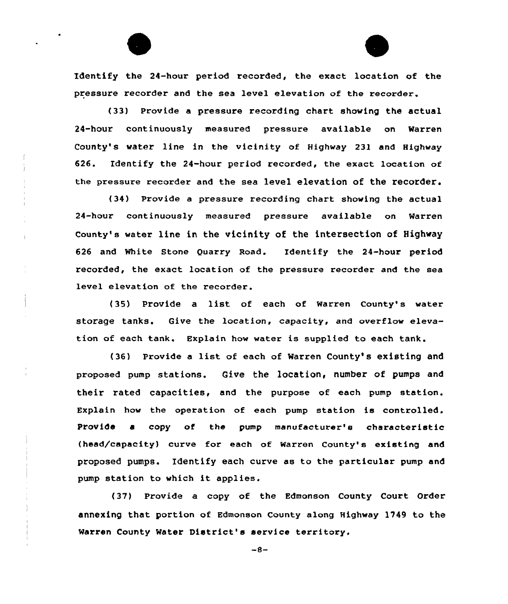Identify the 24-hour period recorded, the exact location of the pressure recorder and the sea level elevation of the recorder.

(33) Provide a pressure recording chart showing the actual 24-hour continuously measured pressure available on Warren County's water line in the vicinity of Highway 231 and Highway 626. Identify the 24-hour period recorded, the exact location of the pressure recorder and the sea level elevation of the recorder.

(34) Provide a pressure recording chart showing the actual 24-hour continuously measured pressure available on Warren County's water line in the vicinity of the intersection of Highway 626 and White Stone Quarry Road. Identify the 24-hour period recorded, the exact location of the pressure recorder and the sea level elevation of the recorder.

Ŷ.

{35) provide a list. of each of Warren County's water storage tanks. Give the location, capacity, and overflow elevation of each tank. Explain how water is supplied to each tank.

{36) Provide <sup>a</sup> list of each of Warren County' existing and proposed pump stations. Give the location, number of pumps and their rated capacities, and the purpose of each pump station. Explain how the operation of each pump station is controlled. Provide e copy of the pump manufacturer's characteristic (head/capacity) curve for each of Warren County's existing and proposed pumps. Identify each curve as to the particular pump and pump station to which it applies.

(37) Provide a copy of the Edmonson County Court Order annexing that portion of Edmonson County along Highway 1149 to the Warren County Water District's service territory.

 $-8-$